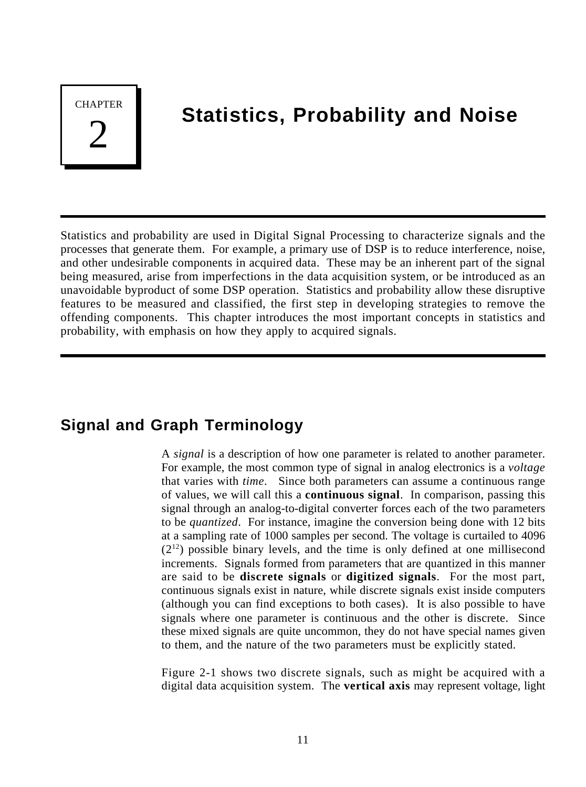**CHAPTER** 2

# **Statistics, Probability and Noise**

Statistics and probability are used in Digital Signal Processing to characterize signals and the processes that generate them. For example, a primary use of DSP is to reduce interference, noise, and other undesirable components in acquired data. These may be an inherent part of the signal being measured, arise from imperfections in the data acquisition system, or be introduced as an unavoidable byproduct of some DSP operation. Statistics and probability allow these disruptive features to be measured and classified, the first step in developing strategies to remove the offending components. This chapter introduces the most important concepts in statistics and probability, with emphasis on how they apply to acquired signals.

# **Signal and Graph Terminology**

A *signal* is a description of how one parameter is related to another parameter. For example, the most common type of signal in analog electronics is a *voltage* that varies with *time*. Since both parameters can assume a continuous range of values, we will call this a **continuous signal**. In comparison, passing this signal through an analog-to-digital converter forces each of the two parameters to be *quantized*. For instance, imagine the conversion being done with 12 bits at a sampling rate of 1000 samples per second. The voltage is curtailed to 4096  $(2^{12})$  possible binary levels, and the time is only defined at one millisecond increments. Signals formed from parameters that are quantized in this manner are said to be **discrete signals** or **digitized signals**. For the most part, continuous signals exist in nature, while discrete signals exist inside computers (although you can find exceptions to both cases). It is also possible to have signals where one parameter is continuous and the other is discrete. Since these mixed signals are quite uncommon, they do not have special names given to them, and the nature of the two parameters must be explicitly stated.

Figure 2-1 shows two discrete signals, such as might be acquired with a digital data acquisition system. The **vertical axis** may represent voltage, light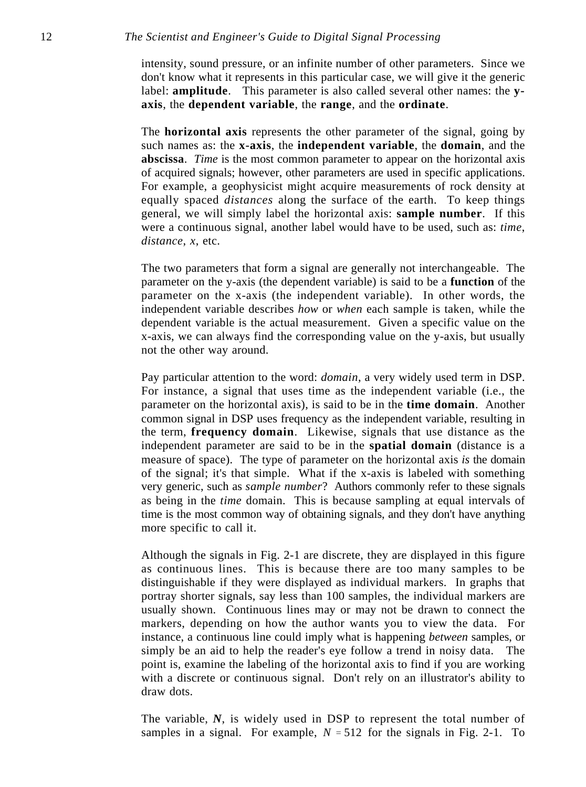intensity, sound pressure, or an infinite number of other parameters. Since we don't know what it represents in this particular case, we will give it the generic label: **amplitude**. This parameter is also called several other names: the **yaxis**, the **dependent variable**, the **range**, and the **ordinate**.

The **horizontal axis** represents the other parameter of the signal, going by such names as: the **x-axis**, the **independent variable**, the **domain**, and the **abscissa**. *Time* is the most common parameter to appear on the horizontal axis of acquired signals; however, other parameters are used in specific applications. For example, a geophysicist might acquire measurements of rock density at equally spaced *distances* along the surface of the earth. To keep things general, we will simply label the horizontal axis: **sample number**. If this were a continuous signal, another label would have to be used, such as: *time*, *distance*, *x*, etc.

The two parameters that form a signal are generally not interchangeable. The parameter on the y-axis (the dependent variable) is said to be a **function** of the parameter on the x-axis (the independent variable). In other words, the independent variable describes *how* or *when* each sample is taken, while the dependent variable is the actual measurement. Given a specific value on the x-axis, we can always find the corresponding value on the y-axis, but usually not the other way around.

Pay particular attention to the word: *domain*, a very widely used term in DSP. For instance, a signal that uses time as the independent variable (i.e., the parameter on the horizontal axis), is said to be in the **time domain**. Another common signal in DSP uses frequency as the independent variable, resulting in the term, **frequency domain**. Likewise, signals that use distance as the independent parameter are said to be in the **spatial domain** (distance is a measure of space). The type of parameter on the horizontal axis *is* the domain of the signal; it's that simple. What if the x-axis is labeled with something very generic, such as *sample number*? Authors commonly refer to these signals as being in the *time* domain. This is because sampling at equal intervals of time is the most common way of obtaining signals, and they don't have anything more specific to call it.

Although the signals in Fig. 2-1 are discrete, they are displayed in this figure as continuous lines. This is because there are too many samples to be distinguishable if they were displayed as individual markers. In graphs that portray shorter signals, say less than 100 samples, the individual markers are usually shown. Continuous lines may or may not be drawn to connect the markers, depending on how the author wants you to view the data. For instance, a continuous line could imply what is happening *between* samples, or simply be an aid to help the reader's eye follow a trend in noisy data. The point is, examine the labeling of the horizontal axis to find if you are working with a discrete or continuous signal. Don't rely on an illustrator's ability to draw dots.

The variable, *N*, is widely used in DSP to represent the total number of samples in a signal. For example,  $N = 512$  for the signals in Fig. 2-1. To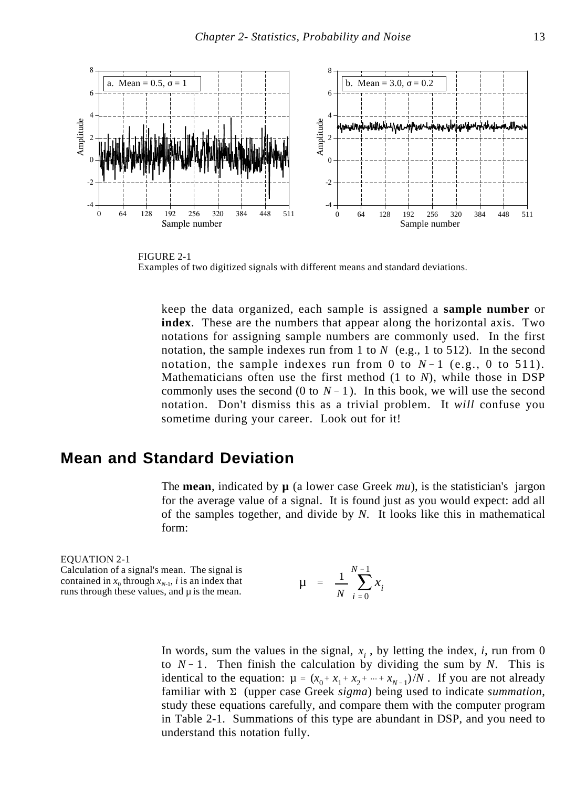

FIGURE 2-1 Examples of two digitized signals with different means and standard deviations.

keep the data organized, each sample is assigned a **sample number** or **index**. These are the numbers that appear along the horizontal axis. Two notations for assigning sample numbers are commonly used. In the first notation, the sample indexes run from 1 to *N* (e.g., 1 to 512). In the second notation, the sample indexes run from 0 to  $N-1$  (e.g., 0 to 511). Mathematicians often use the first method (1 to *N*), while those in DSP commonly uses the second (0 to  $N-1$ ). In this book, we will use the second notation. Don't dismiss this as a trivial problem. It *will* confuse you sometime during your career. Look out for it!

### **Mean and Standard Deviation**

The **mean**, indicated by **µ** (a lower case Greek *mu*), is the statistician's jargon for the average value of a signal. It is found just as you would expect: add all of the samples together, and divide by *N*. It looks like this in mathematical form:

EQUATION 2-1

Calculation of a signal's mean. The signal is contained in  $x_0$  through  $x_{N-1}$ , *i* is an index that runs through these values, and µ is the mean.

$$
\mu = \frac{1}{N} \sum_{i=0}^{N-1} x_i
$$

In words, sum the values in the signal,  $x_i$ , by letting the index, *i*, run from 0 to  $N-1$ . Then finish the calculation by dividing the sum by  $N$ . This is identical to the equation:  $\mu = (x_0 + x_1 + x_2 + \cdots + x_{N-1})/N$ . If you are not already familiar with E (upper case Greek *sigma*) being used to indicate *summation*, study these equations carefully, and compare them with the computer program in Table 2-1. Summations of this type are abundant in DSP, and you need to understand this notation fully.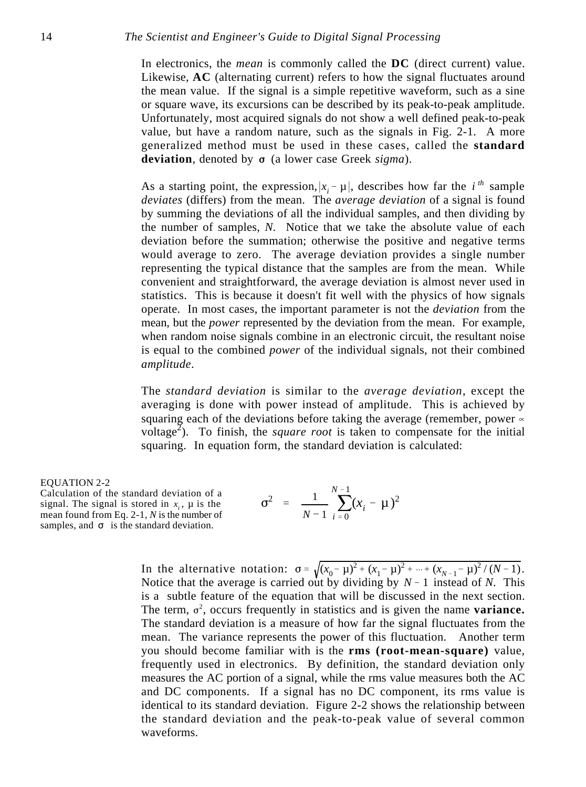In electronics, the *mean* is commonly called the **DC** (direct current) value. Likewise, **AC** (alternating current) refers to how the signal fluctuates around the mean value. If the signal is a simple repetitive waveform, such as a sine or square wave, its excursions can be described by its peak-to-peak amplitude. Unfortunately, most acquired signals do not show a well defined peak-to-peak value, but have a random nature, such as the signals in Fig. 2-1. A more generalized method must be used in these cases, called the **standard deviation**, denoted by **σ** (a lower case Greek *sigma*).

As a starting point, the expression,  $|x_i - \mu|$ , describes how far the *i*<sup>th</sup> sample *deviates* (differs) from the mean. The *average deviation* of a signal is found by summing the deviations of all the individual samples, and then dividing by the number of samples, *N.* Notice that we take the absolute value of each deviation before the summation; otherwise the positive and negative terms would average to zero. The average deviation provides a single number representing the typical distance that the samples are from the mean. While convenient and straightforward, the average deviation is almost never used in statistics. This is because it doesn't fit well with the physics of how signals operate. In most cases, the important parameter is not the *deviation* from the mean, but the *power* represented by the deviation from the mean. For example, when random noise signals combine in an electronic circuit, the resultant noise is equal to the combined *power* of the individual signals, not their combined *amplitude*.

The *standard deviation* is similar to the *average deviation*, except the averaging is done with power instead of amplitude. This is achieved by squaring each of the deviations before taking the average (remember, power  $\infty$ ) voltage<sup>2</sup>). To finish, the *square root* is taken to compensate for the initial squaring. In equation form, the standard deviation is calculated:

EQUATION 2-2 Calculation of the standard deviation of a signal. The signal is stored in  $x_i$ ,  $\mu$  is the mean found from Eq. 2-1, *N* is the number of samples, and **s** is the standard deviation.

$$
\sigma^2 = \frac{1}{N-1} \sum_{i=0}^{N-1} (x_i - \mu)^2
$$

In the alternative notation:  $\sigma = \sqrt{(x_0 - \mu)^2 + (x_1 - \mu)^2 + \dots + (x_{N-1} - \mu)^2 / (N-1)}$ . Notice that the average is carried out by dividing by  $N-1$  instead of N. This is a subtle feature of the equation that will be discussed in the next section. The term,  $\sigma^2$ , occurs frequently in statistics and is given the name **variance.** The standard deviation is a measure of how far the signal fluctuates from the mean. The variance represents the power of this fluctuation. Another term you should become familiar with is the **rms (root-mean-square)** value, frequently used in electronics. By definition, the standard deviation only measures the AC portion of a signal, while the rms value measures both the AC and DC components. If a signal has no DC component, its rms value is identical to its standard deviation. Figure 2-2 shows the relationship between the standard deviation and the peak-to-peak value of several common waveforms.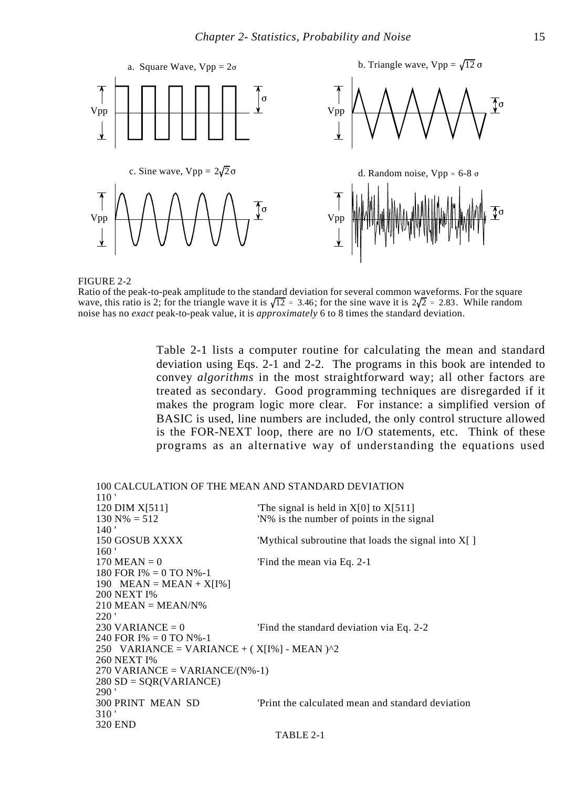



Ratio of the peak-to-peak amplitude to the standard deviation for several common waveforms. For the square wave, this ratio is 2; for the triangle wave it is  $\sqrt{12}$  = 3.46; for the sine wave it is  $2\sqrt{2}$  = 2.83. While random noise has no *exact* peak-to-peak value, it is *approximately* 6 to 8 times the standard deviation.

> Table 2-1 lists a computer routine for calculating the mean and standard deviation using Eqs. 2-1 and 2-2. The programs in this book are intended to convey *algorithms* in the most straightforward way; all other factors are treated as secondary. Good programming techniques are disregarded if it makes the program logic more clear. For instance: a simplified version of BASIC is used, line numbers are included, the only control structure allowed is the FOR-NEXT loop, there are no I/O statements, etc. Think of these programs as an alternative way of understanding the equations used

| 100 CALCULATION OF THE MEAN AND STANDARD DEVIATION    |                                                         |  |  |  |
|-------------------------------------------------------|---------------------------------------------------------|--|--|--|
| 110'                                                  |                                                         |  |  |  |
| 120 DIM X[511]                                        | The signal is held in $X[0]$ to $X[511]$                |  |  |  |
| $130 N\% = 512$                                       | 'N% is the number of points in the signal               |  |  |  |
| 140'                                                  |                                                         |  |  |  |
| 150 GOSUB XXXX                                        | 'Mythical subroutine that loads the signal into $X[\ ]$ |  |  |  |
| 160'                                                  |                                                         |  |  |  |
| $170 \text{ MEAN} = 0$                                | 'Find the mean via Eq. 2-1                              |  |  |  |
| 180 FOR $I% = 0$ TO N%-1                              |                                                         |  |  |  |
| 190 $MEAN = MEAN + X[I\%]$                            |                                                         |  |  |  |
| 200 NEXT I%                                           |                                                         |  |  |  |
| $210$ MEAN = MEAN/N%                                  |                                                         |  |  |  |
| 220 '                                                 |                                                         |  |  |  |
| $230$ VARIANCE = $0$                                  | 'Find the standard deviation via Eq. 2-2                |  |  |  |
| 240 FOR I% = 0 TO N%-1                                |                                                         |  |  |  |
| 250 VARIANCE = VARIANCE + (X[I%] - MEAN $\frac{1}{2}$ |                                                         |  |  |  |
| 260 NEXT I%                                           |                                                         |  |  |  |
| 270 VARIANCE = VARIANCE/(N%-1)                        |                                                         |  |  |  |
| $280 SD = SQR(VARIANCE)$                              |                                                         |  |  |  |
| 290 '                                                 |                                                         |  |  |  |
| 300 PRINT MEAN SD                                     | Print the calculated mean and standard deviation        |  |  |  |
| 310 '                                                 |                                                         |  |  |  |
| 320 END                                               |                                                         |  |  |  |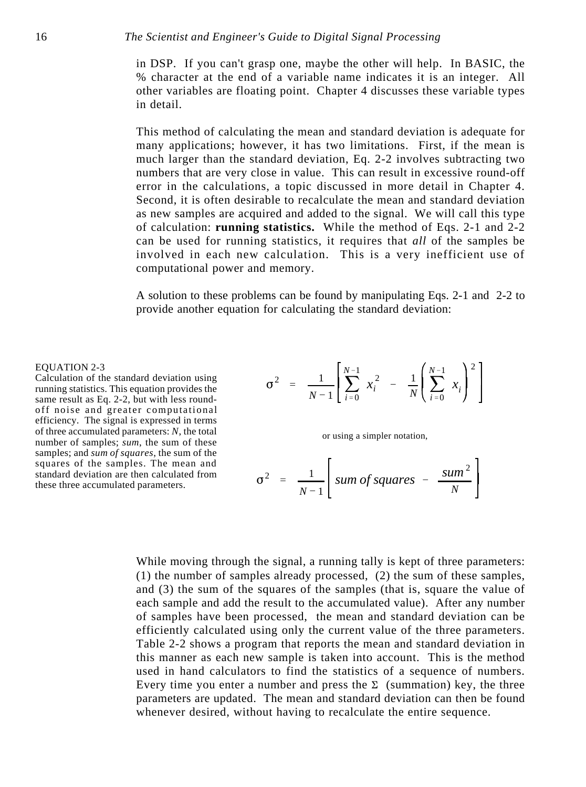in DSP. If you can't grasp one, maybe the other will help. In BASIC, the % character at the end of a variable name indicates it is an integer. All other variables are floating point. Chapter 4 discusses these variable types in detail.

This method of calculating the mean and standard deviation is adequate for many applications; however, it has two limitations. First, if the mean is much larger than the standard deviation, Eq. 2-2 involves subtracting two numbers that are very close in value. This can result in excessive round-off error in the calculations, a topic discussed in more detail in Chapter 4. Second, it is often desirable to recalculate the mean and standard deviation as new samples are acquired and added to the signal. We will call this type of calculation: **running statistics.** While the method of Eqs. 2-1 and 2-2 can be used for running statistics, it requires that *all* of the samples be involved in each new calculation. This is a very inefficient use of computational power and memory.

A solution to these problems can be found by manipulating Eqs. 2-1 and 2-2 to provide another equation for calculating the standard deviation:

#### EQUATION 2-3

Calculation of the standard deviation using running statistics. This equation provides the same result as Eq. 2-2, but with less roundoff noise and greater computational efficiency. The signal is expressed in terms of three accumulated parameters: *N*, the total number of samples; *sum*, the sum of these samples; and *sum of squares*, the sum of the squares of the samples. The mean and standard deviation are then calculated from these three accumulated parameters.

$$
\sigma^2 = \frac{1}{N-1} \left[ \sum_{i=0}^{N-1} x_i^2 - \frac{1}{N} \left( \sum_{i=0}^{N-1} x_i \right)^2 \right]
$$

or using a simpler notation,

$$
\sigma^2 = \frac{1}{N-1} \left[ sum of squares - \frac{sum^2}{N} \right]
$$

While moving through the signal, a running tally is kept of three parameters: (1) the number of samples already processed, (2) the sum of these samples, and (3) the sum of the squares of the samples (that is, square the value of each sample and add the result to the accumulated value). After any number of samples have been processed, the mean and standard deviation can be efficiently calculated using only the current value of the three parameters. Table 2-2 shows a program that reports the mean and standard deviation in this manner as each new sample is taken into account. This is the method used in hand calculators to find the statistics of a sequence of numbers. Every time you enter a number and press the  $\Sigma$  (summation) key, the three parameters are updated. The mean and standard deviation can then be found whenever desired, without having to recalculate the entire sequence.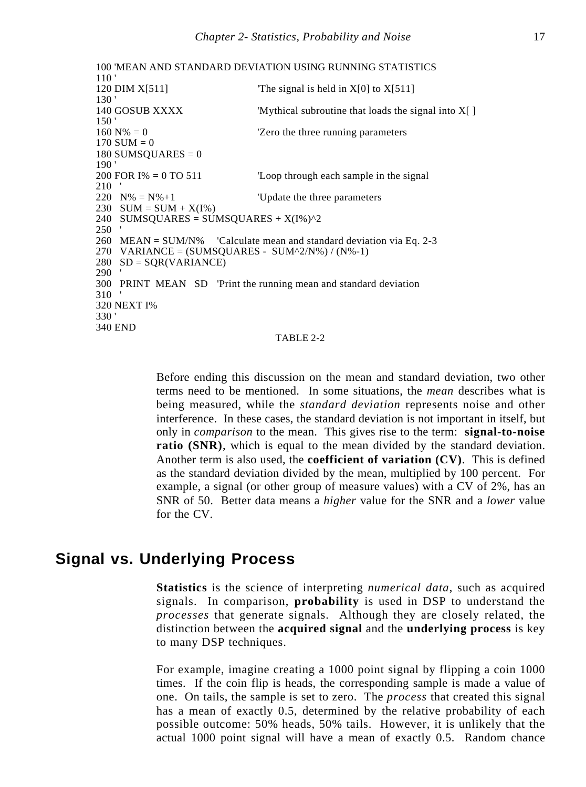```
100 'MEAN AND STANDARD DEVIATION USING RUNNING STATISTICS
110 '
120 DIM X[511] The signal is held in X[0] to X[511]130 '
140 GOSUB XXXX 'Mythical subroutine that loads the signal into X[ ]
150'<br>160 N% = 0'Zero the three running parameters
170 SUM = 0180 SUMSQUARES = 0
190 '
200 FOR I% = 0 TO 511 \qquad 'Loop through each sample in the signal
210 '
220 N\% = N\% + 1 'Update the three parameters'
230 SUM = SUM + X(I%)240 SUMSQUARES = SUMSQUARES + X(I\%)^2250 '
260 MEAN = SUM/N% 'Calculate mean and standard deviation via Eq. 2-3
270 VARIANCE = (SUMSQUARES - SUM^2/N\%) / (N\% - 1)280 SD = SQR(VARIANCE)
290 '
300 PRINT MEAN SD 'Print the running mean and standard deviation
310 '
320 NEXT I%
330 '
340 END
```
#### TABLE 2-2

Before ending this discussion on the mean and standard deviation, two other terms need to be mentioned. In some situations, the *mean* describes what is being measured, while the *standard deviation* represents noise and other interference. In these cases, the standard deviation is not important in itself, but only in *comparison* to the mean. This gives rise to the term: **signal-to-noise ratio (SNR)**, which is equal to the mean divided by the standard deviation. Another term is also used, the **coefficient of variation (CV)**. This is defined as the standard deviation divided by the mean, multiplied by 100 percent. For example, a signal (or other group of measure values) with a CV of 2%, has an SNR of 50. Better data means a *higher* value for the SNR and a *lower* value for the CV.

# **Signal vs. Underlying Process**

**Statistics** is the science of interpreting *numerical data*, such as acquired signals. In comparison, **probability** is used in DSP to understand the *processes* that generate signals. Although they are closely related, the distinction between the **acquired signal** and the **underlying process** is key to many DSP techniques.

For example, imagine creating a 1000 point signal by flipping a coin 1000 times. If the coin flip is heads, the corresponding sample is made a value of one. On tails, the sample is set to zero. The *process* that created this signal has a mean of exactly 0.5, determined by the relative probability of each possible outcome: 50% heads, 50% tails. However, it is unlikely that the actual 1000 point signal will have a mean of exactly 0.5. Random chance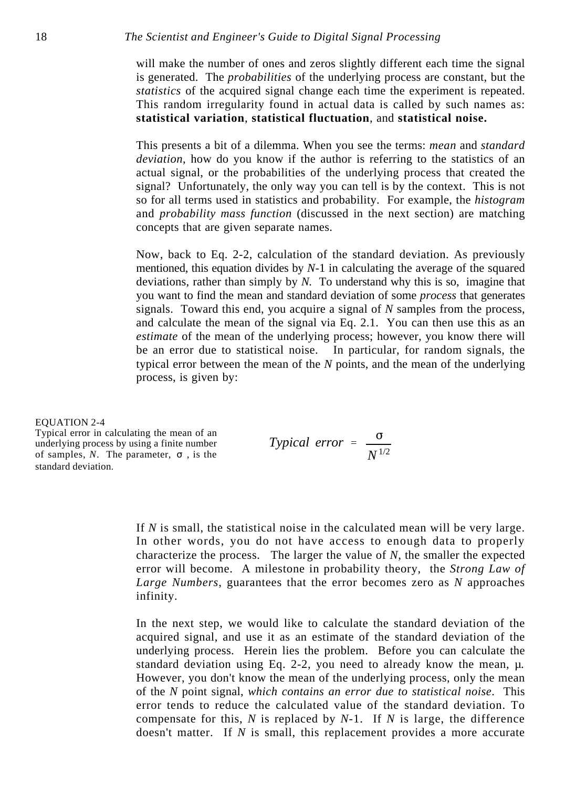will make the number of ones and zeros slightly different each time the signal is generated. The *probabilities* of the underlying process are constant, but the *statistics* of the acquired signal change each time the experiment is repeated. This random irregularity found in actual data is called by such names as: **statistical variation**, **statistical fluctuation**, and **statistical noise.**

This presents a bit of a dilemma. When you see the terms: *mean* and *standard deviation*, how do you know if the author is referring to the statistics of an actual signal, or the probabilities of the underlying process that created the signal? Unfortunately, the only way you can tell is by the context. This is not so for all terms used in statistics and probability. For example, the *histogram* and *probability mass function* (discussed in the next section) are matching concepts that are given separate names.

Now, back to Eq. 2-2, calculation of the standard deviation. As previously mentioned, this equation divides by *N*-1 in calculating the average of the squared deviations, rather than simply by *N.* To understand why this is so, imagine that you want to find the mean and standard deviation of some *process* that generates signals. Toward this end, you acquire a signal of *N* samples from the process, and calculate the mean of the signal via Eq. 2.1. You can then use this as an *estimate* of the mean of the underlying process; however, you know there will be an error due to statistical noise. In particular, for random signals, the typical error between the mean of the *N* points, and the mean of the underlying process, is given by:

EQUATION 2-4

Typical error in calculating the mean of an underlying process by using a finite number of samples, *N*. The parameter, *s* , is the standard deviation.

$$
Typical\ error = \frac{\sigma}{N^{1/2}}
$$

If *N* is small, the statistical noise in the calculated mean will be very large. In other words, you do not have access to enough data to properly characterize the process. The larger the value of *N*, the smaller the expected error will become. A milestone in probability theory, the *Strong Law of Large Numbers*, guarantees that the error becomes zero as *N* approaches infinity.

In the next step, we would like to calculate the standard deviation of the acquired signal, and use it as an estimate of the standard deviation of the underlying process. Herein lies the problem. Before you can calculate the standard deviation using Eq. 2-2, you need to already know the mean,  $\mu$ . However, you don't know the mean of the underlying process, only the mean of the *N* point signal, *which contains an error due to statistical noise*. This error tends to reduce the calculated value of the standard deviation. To compensate for this, *N* is replaced by *N*-1. If *N* is large, the difference doesn't matter. If *N* is small, this replacement provides a more accurate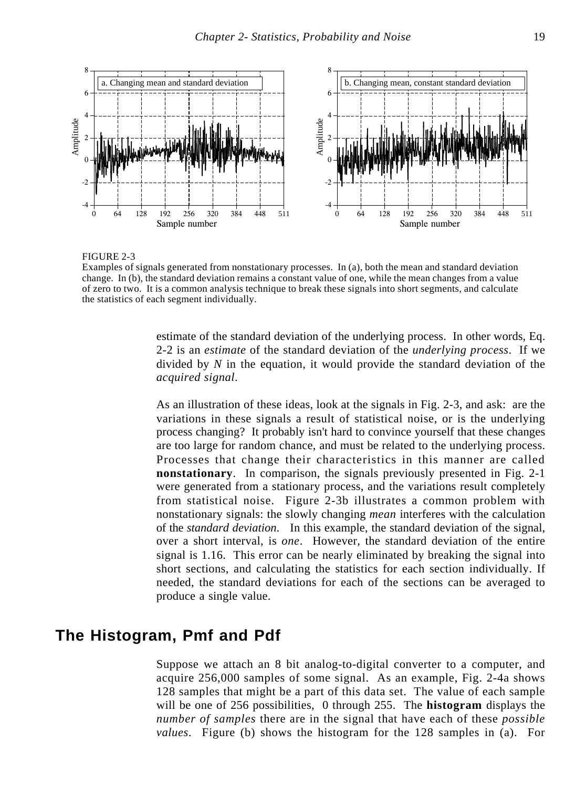

FIGURE 2-3

Examples of signals generated from nonstationary processes. In (a), both the mean and standard deviation change. In (b), the standard deviation remains a constant value of one, while the mean changes from a value of zero to two. It is a common analysis technique to break these signals into short segments, and calculate the statistics of each segment individually.

estimate of the standard deviation of the underlying process. In other words, Eq. 2-2 is an *estimate* of the standard deviation of the *underlying process*. If we divided by *N* in the equation, it would provide the standard deviation of the *acquired signal*.

As an illustration of these ideas, look at the signals in Fig. 2-3, and ask: are the variations in these signals a result of statistical noise, or is the underlying process changing? It probably isn't hard to convince yourself that these changes are too large for random chance, and must be related to the underlying process. Processes that change their characteristics in this manner are called **nonstationary**. In comparison, the signals previously presented in Fig. 2-1 were generated from a stationary process, and the variations result completely from statistical noise. Figure 2-3b illustrates a common problem with nonstationary signals: the slowly changing *mean* interferes with the calculation of the *standard deviation*. In this example, the standard deviation of the signal, over a short interval, is *one*. However, the standard deviation of the entire signal is 1.16. This error can be nearly eliminated by breaking the signal into short sections, and calculating the statistics for each section individually. If needed, the standard deviations for each of the sections can be averaged to produce a single value.

# **The Histogram, Pmf and Pdf**

Suppose we attach an 8 bit analog-to-digital converter to a computer, and acquire 256,000 samples of some signal. As an example, Fig. 2-4a shows 128 samples that might be a part of this data set. The value of each sample will be one of 256 possibilities, 0 through 255. The **histogram** displays the *number of samples* there are in the signal that have each of these *possible values*. Figure (b) shows the histogram for the 128 samples in (a). For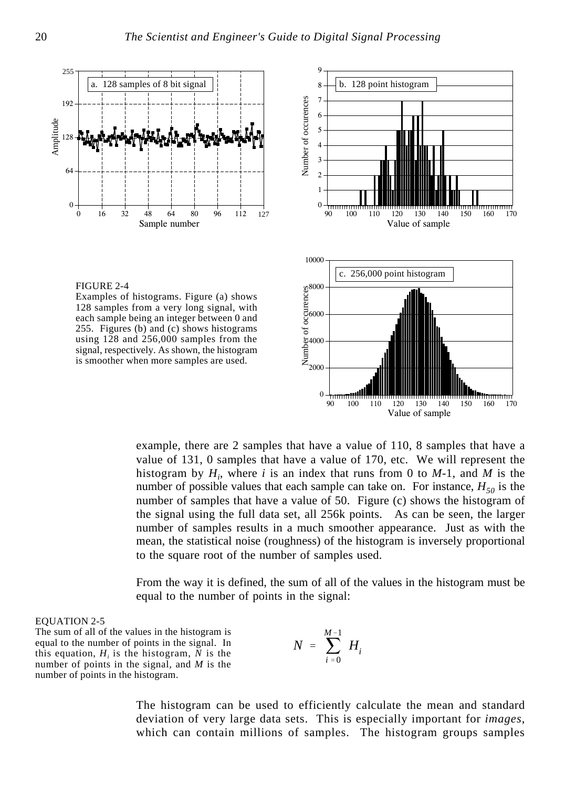



Examples of histograms. Figure (a) shows 128 samples from a very long signal, with each sample being an integer between 0 and 255. Figures (b) and (c) shows histograms using 128 and 256,000 samples from the signal, respectively. As shown, the histogram is smoother when more samples are used.



example, there are 2 samples that have a value of 110, 8 samples that have a value of 131, 0 samples that have a value of 170, etc. We will represent the histogram by  $H_i$ , where *i* is an index that runs from 0 to  $M-1$ , and  $M$  is the number of possible values that each sample can take on. For instance,  $H_{50}$  is the number of samples that have a value of 50. Figure (c) shows the histogram of the signal using the full data set, all 256k points. As can be seen, the larger number of samples results in a much smoother appearance. Just as with the mean, the statistical noise (roughness) of the histogram is inversely proportional to the square root of the number of samples used.

From the way it is defined, the sum of all of the values in the histogram must be equal to the number of points in the signal:

#### EQUATION 2-5

The sum of all of the values in the histogram is equal to the number of points in the signal. In this equation,  $H_i$  is the histogram,  $N$  is the number of points in the signal, and *M* is the number of points in the histogram.

$$
N = \sum_{i=0}^{M-1} H_i
$$

The histogram can be used to efficiently calculate the mean and standard deviation of very large data sets. This is especially important for *images*, which can contain millions of samples. The histogram groups samples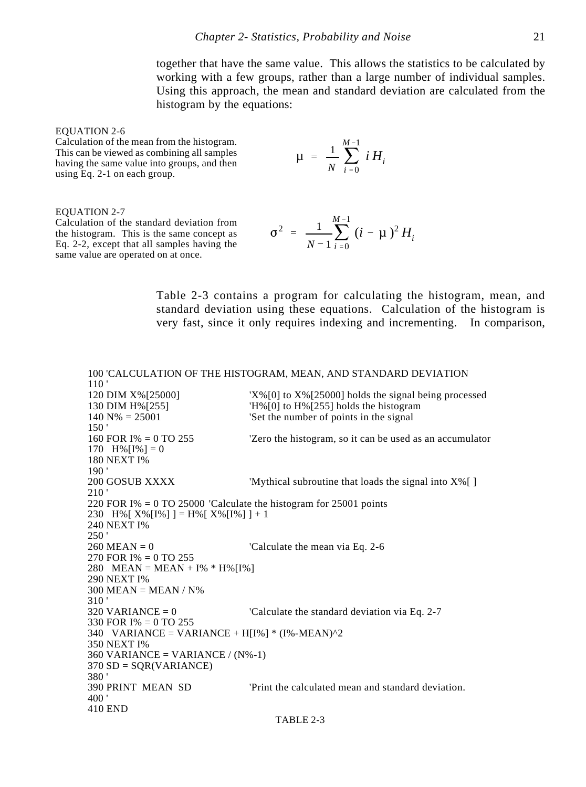together that have the same value. This allows the statistics to be calculated by working with a few groups, rather than a large number of individual samples. Using this approach, the mean and standard deviation are calculated from the histogram by the equations:

#### EQUATION 2-6

Calculation of the mean from the histogram. This can be viewed as combining all samples having the same value into groups, and then using Eq. 2-1 on each group.

$$
\mu = \frac{1}{N} \sum_{i=0}^{M-1} i H_i
$$

EQUATION 2-7

Calculation of the standard deviation from the histogram. This is the same concept as Eq. 2-2, except that all samples having the same value are operated on at once.

$$
\sigma^2 = \frac{1}{N-1}\sum_{i=0}^{M-1} (i - \mu)^2 H_i
$$

Table 2-3 contains a program for calculating the histogram, mean, and standard deviation using these equations. Calculation of the histogram is very fast, since it only requires indexing and incrementing. In comparison,

100 'CALCULATION OF THE HISTOGRAM, MEAN, AND STANDARD DEVIATION 110 ' 120 DIM X%[25000] 'X%[0] to X%[25000] holds the signal being processed 130 DIM H%[255]  $\text{H}\%$ [0] to H%[255] holds the histogram  $140 \text{ N\%} = 25001$  'Set the number of points in the signal 150 '<br>160 FOR  $1\% = 0$  TO 255 'Zero the histogram, so it can be used as an accumulator  $170$  H%  $1\%$   $1 = 0$ 180 NEXT I% 190 ' 200 GOSUB XXXX 'Mythical subroutine that loads the signal into X%[ ] 210 ' 220 FOR I% = 0 TO 25000 'Calculate the histogram for 25001 points 230 H% [  $X\%$  [ $I\%$  ] ] = H% [  $X\%$  [ $I\%$  ] ] + 1 240 NEXT I% 250 '  $260 \text{ MEAN} = 0$  'Calculate the mean via Eq. 2-6 270 FOR I% = 0 TO 255 280 MEAN = MEAN +  $I\%$  \*  $H\%$  [ $I\%$ ] 290 NEXT I%  $300$  MEAN = MEAN / N% 310 '  $320 \text{ VARIANCE} = 0$  'Calculate the standard deviation via Eq. 2-7 330 FOR I% = 0 TO 255  $340$  VARIANCE = VARIANCE + H[I%] \*  $(1\% - MEAN)^2$ 350 NEXT I%  $360$  VARIANCE = VARIANCE / (N%-1)  $370$  SD = SQR(VARIANCE) 380 '<br>390 PRINT MEAN SD Print the calculated mean and standard deviation. 400 ' 410 END TABLE 2-3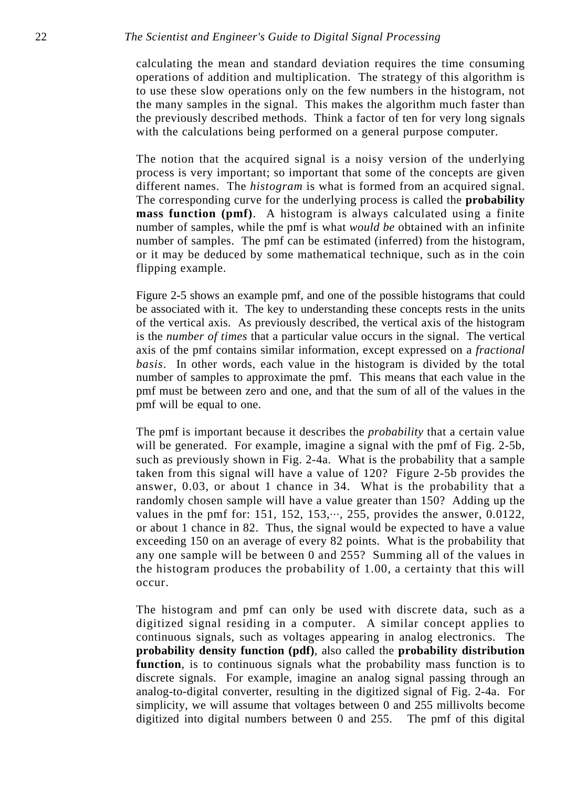### 22 *The Scientist and Engineer's Guide to Digital Signal Processing*

calculating the mean and standard deviation requires the time consuming operations of addition and multiplication. The strategy of this algorithm is to use these slow operations only on the few numbers in the histogram, not the many samples in the signal. This makes the algorithm much faster than the previously described methods. Think a factor of ten for very long signals with the calculations being performed on a general purpose computer.

The notion that the acquired signal is a noisy version of the underlying process is very important; so important that some of the concepts are given different names. The *histogram* is what is formed from an acquired signal. The corresponding curve for the underlying process is called the **probability mass function (pmf)**. A histogram is always calculated using a finite number of samples, while the pmf is what *would be* obtained with an infinite number of samples. The pmf can be estimated (inferred) from the histogram, or it may be deduced by some mathematical technique, such as in the coin flipping example.

Figure 2-5 shows an example pmf, and one of the possible histograms that could be associated with it. The key to understanding these concepts rests in the units of the vertical axis. As previously described, the vertical axis of the histogram is the *number of times* that a particular value occurs in the signal. The vertical axis of the pmf contains similar information, except expressed on a *fractional basis*. In other words, each value in the histogram is divided by the total number of samples to approximate the pmf. This means that each value in the pmf must be between zero and one, and that the sum of all of the values in the pmf will be equal to one.

The pmf is important because it describes the *probability* that a certain value will be generated. For example, imagine a signal with the pmf of Fig. 2-5b, such as previously shown in Fig. 2-4a. What is the probability that a sample taken from this signal will have a value of 120? Figure 2-5b provides the answer, 0.03, or about 1 chance in 34. What is the probability that a randomly chosen sample will have a value greater than 150? Adding up the values in the pmf for: 151, 152, 153, $\cdots$ , 255, provides the answer, 0.0122, or about 1 chance in 82. Thus, the signal would be expected to have a value exceeding 150 on an average of every 82 points. What is the probability that any one sample will be between 0 and 255? Summing all of the values in the histogram produces the probability of 1.00, a certainty that this will occur.

The histogram and pmf can only be used with discrete data, such as a digitized signal residing in a computer. A similar concept applies to continuous signals, such as voltages appearing in analog electronics. The **probability density function (pdf)**, also called the **probability distribution function**, is to continuous signals what the probability mass function is to discrete signals. For example, imagine an analog signal passing through an analog-to-digital converter, resulting in the digitized signal of Fig. 2-4a. For simplicity, we will assume that voltages between 0 and 255 millivolts become digitized into digital numbers between 0 and 255. The pmf of this digital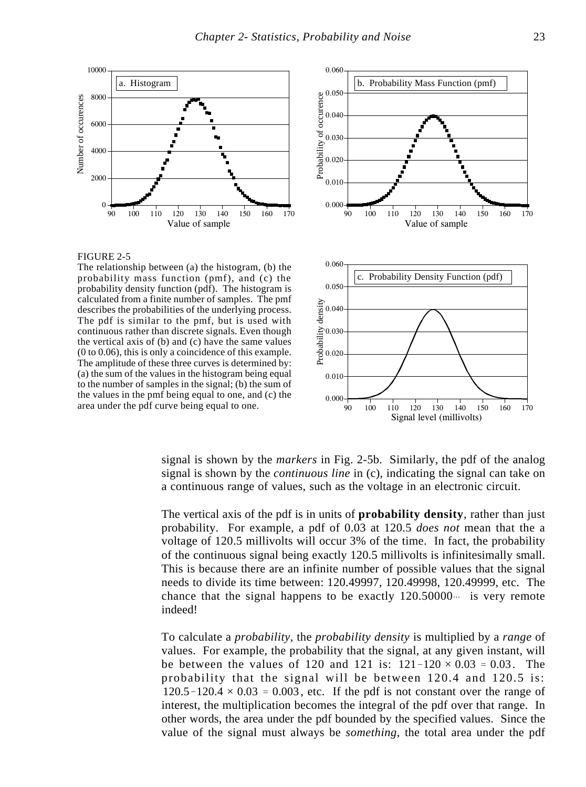

#### FIGURE 2-5

The relationship between (a) the histogram, (b) the probability mass function (pmf), and (c) the probability density function (pdf). The histogram is calculated from a finite number of samples. The pmf describes the probabilities of the underlying process. The pdf is similar to the pmf, but is used with continuous rather than discrete signals. Even though the vertical axis of (b) and (c) have the same values (0 to 0.06), this is only a coincidence of this example. The amplitude of these three curves is determined by: (a) the sum of the values in the histogram being equal to the number of samples in the signal; (b) the sum of the values in the pmf being equal to one, and (c) the area under the pdf curve being equal to one.



signal is shown by the *markers* in Fig. 2-5b. Similarly, the pdf of the analog signal is shown by the *continuous line* in (c), indicating the signal can take on a continuous range of values, such as the voltage in an electronic circuit.

The vertical axis of the pdf is in units of **probability density**, rather than just probability. For example, a pdf of 0.03 at 120.5 *does not* mean that the a voltage of 120.5 millivolts will occur 3% of the time. In fact, the probability of the continuous signal being exactly 120.5 millivolts is infinitesimally small. This is because there are an infinite number of possible values that the signal needs to divide its time between: 120.49997, 120.49998, 120.49999, etc. The chance that the signal happens to be exactly  $120.50000 \dots$  is very remote indeed!

To calculate a *probability*, the *probability density* is multiplied by a *range* of values. For example, the probability that the signal, at any given instant, will be between the values of 120 and 121 is:  $121 - 120 \times 0.03 = 0.03$ . The probability that the signal will be between 120.4 and 120.5 is:  $120.5 - 120.4 \times 0.03 = 0.003$ , etc. If the pdf is not constant over the range of interest, the multiplication becomes the integral of the pdf over that range. In other words, the area under the pdf bounded by the specified values. Since the value of the signal must always be *something*, the total area under the pdf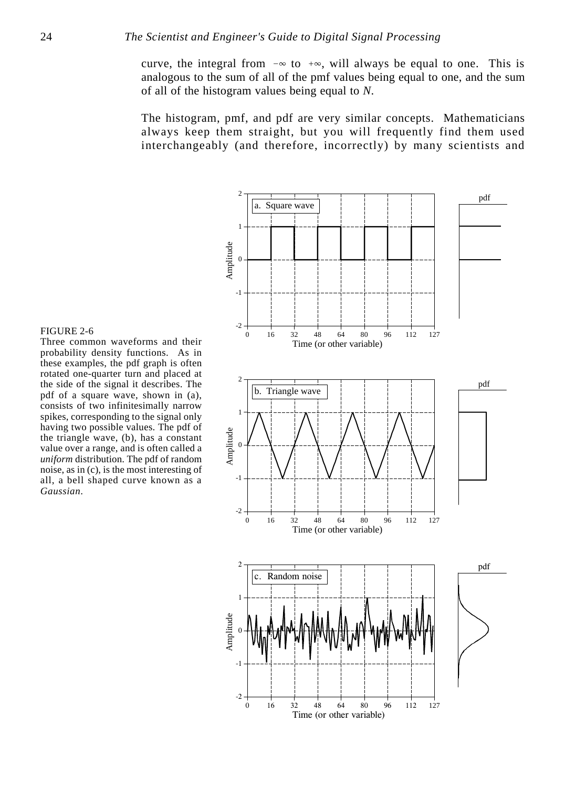curve, the integral from  $-\infty$  to  $+\infty$ , will always be equal to one. This is analogous to the sum of all of the pmf values being equal to one, and the sum of all of the histogram values being equal to *N*.

The histogram, pmf, and pdf are very similar concepts. Mathematicians always keep them straight, but you will frequently find them used interchangeably (and therefore, incorrectly) by many scientists and



### FIGURE 2-6

Three common waveforms and their probability density functions. As in these examples, the pdf graph is often rotated one-quarter turn and placed at the side of the signal it describes. The pdf of a square wave, shown in (a), consists of two infinitesimally narrow spikes, corresponding to the signal only having two possible values. The pdf of the triangle wave, (b), has a constant value over a range, and is often called a *uniform* distribution. The pdf of random noise, as in (c), is the most interesting of all, a bell shaped curve known as a *Gaussian*.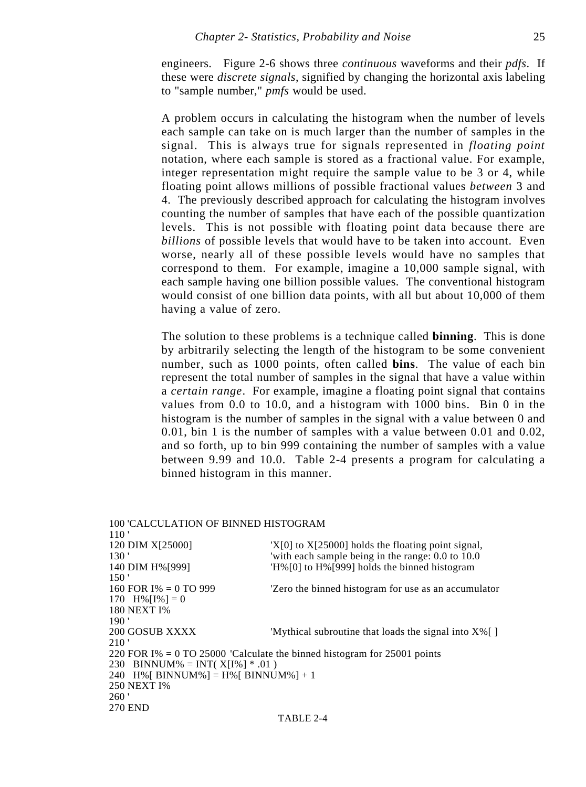engineers. Figure 2-6 shows three *continuous* waveforms and their *pdfs*. If these were *discrete signals*, signified by changing the horizontal axis labeling to "sample number," *pmfs* would be used.

A problem occurs in calculating the histogram when the number of levels each sample can take on is much larger than the number of samples in the signal. This is always true for signals represented in *floating point* notation, where each sample is stored as a fractional value. For example, integer representation might require the sample value to be 3 or 4, while floating point allows millions of possible fractional values *between* 3 and 4. The previously described approach for calculating the histogram involves counting the number of samples that have each of the possible quantization levels. This is not possible with floating point data because there are *billions* of possible levels that would have to be taken into account. Even worse, nearly all of these possible levels would have no samples that correspond to them. For example, imagine a 10,000 sample signal, with each sample having one billion possible values. The conventional histogram would consist of one billion data points, with all but about 10,000 of them having a value of zero.

The solution to these problems is a technique called **binning**. This is done by arbitrarily selecting the length of the histogram to be some convenient number, such as 1000 points, often called **bins**. The value of each bin represent the total number of samples in the signal that have a value within a *certain range*. For example, imagine a floating point signal that contains values from 0.0 to 10.0, and a histogram with 1000 bins. Bin 0 in the histogram is the number of samples in the signal with a value between 0 and 0.01, bin 1 is the number of samples with a value between 0.01 and 0.02, and so forth, up to bin 999 containing the number of samples with a value between 9.99 and 10.0. Table 2-4 presents a program for calculating a binned histogram in this manner.

```
100 'CALCULATION OF BINNED HISTOGRAM
110 '
120 DIM X[25000] X[0] to X[25000] holds the floating point signal,<br>130 ' with each sample being in the range: 0.0 to 10.0
                                   ' with each sample being in the range: 0.0 to 10.0140 DIM H%[999] 'H%[0] to H%[999] holds the binned histogram
150 '<br>160 FOR I% = 0 TO 999
                                   'Zero the binned histogram for use as an accumulator
170 H\%[I\%] = 0
180 NEXT I%
190 '
200 GOSUB XXXX 'Mythical subroutine that loads the signal into X%[ ]
210 '
220 FOR I% = 0 TO 25000 'Calculate the binned histogram for 25001 points
230 BINNUM% = INT(X[I\%]\times .01)
240 H\%[ BINNUM%] = H%[ BINNUM%] + 1
250 NEXT I%
260 '
270 END
```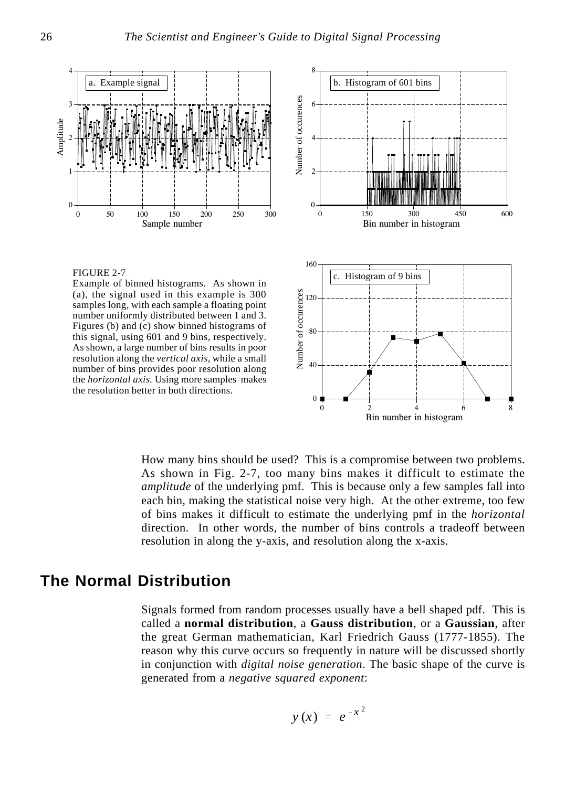

FIGURE 2-7

Example of binned histograms. As shown in (a), the signal used in this example is 300 samples long, with each sample a floating point number uniformly distributed between 1 and 3. Figures (b) and (c) show binned histograms of this signal, using 601 and 9 bins, respectively. As shown, a large number of bins results in poor resolution along the *vertical axis*, while a small number of bins provides poor resolution along the *horizontal axis.* Using more samples makes the resolution better in both directions.



How many bins should be used? This is a compromise between two problems. As shown in Fig. 2-7, too many bins makes it difficult to estimate the *amplitude* of the underlying pmf. This is because only a few samples fall into each bin, making the statistical noise very high. At the other extreme, too few of bins makes it difficult to estimate the underlying pmf in the *horizontal* direction. In other words, the number of bins controls a tradeoff between resolution in along the y-axis, and resolution along the x-axis.

# **The Normal Distribution**

Signals formed from random processes usually have a bell shaped pdf. This is called a **normal distribution**, a **Gauss distribution**, or a **Gaussian**, after the great German mathematician, Karl Friedrich Gauss (1777-1855). The reason why this curve occurs so frequently in nature will be discussed shortly in conjunction with *digital noise generation*. The basic shape of the curve is generated from a *negative squared exponent*:

$$
y(x) = e^{-x^2}
$$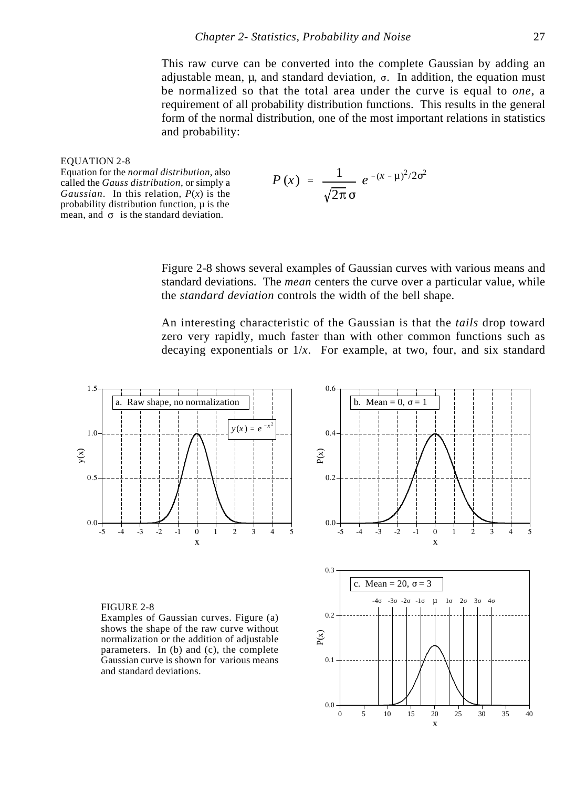This raw curve can be converted into the complete Gaussian by adding an adjustable mean,  $\mu$ , and standard deviation,  $\sigma$ . In addition, the equation must be normalized so that the total area under the curve is equal to *one*, a requirement of all probability distribution functions. This results in the general form of the normal distribution, one of the most important relations in statistics and probability:

### EQUATION 2-8

Equation for the *normal distribution*, also called the *Gauss distribution*, or simply a *Gaussian*. In this relation, *P*(*x*) is the probability distribution function,  $\mu$  is the mean, and *s* is the standard deviation.

$$
P(x) = \frac{1}{\sqrt{2\pi} \sigma} e^{-(x-\mu)^2/2\sigma^2}
$$

Figure 2-8 shows several examples of Gaussian curves with various means and standard deviations. The *mean* centers the curve over a particular value, while the *standard deviation* controls the width of the bell shape.

An interesting characteristic of the Gaussian is that the *tails* drop toward zero very rapidly, much faster than with other common functions such as decaying exponentials or  $1/x$ . For example, at two, four, and six standard





#### FIGURE 2-8

Examples of Gaussian curves. Figure (a) shows the shape of the raw curve without normalization or the addition of adjustable parameters. In (b) and (c), the complete Gaussian curve is shown for various means and standard deviations.

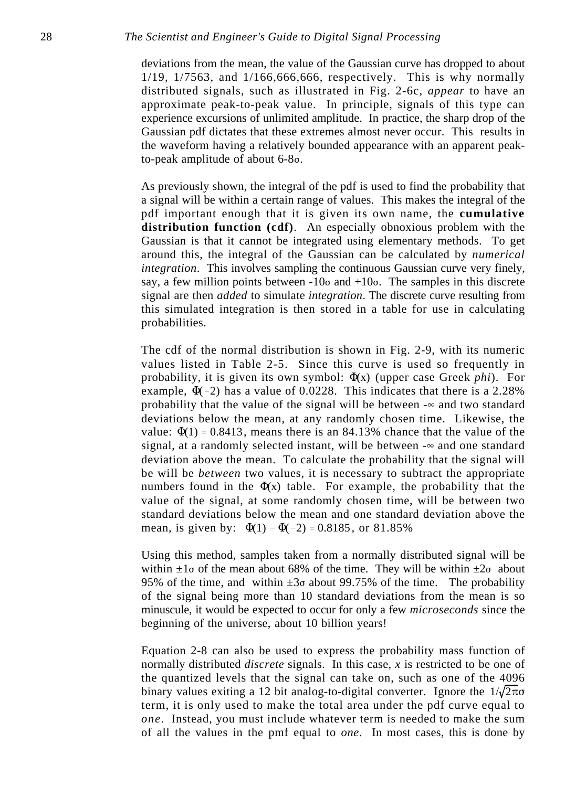deviations from the mean, the value of the Gaussian curve has dropped to about  $1/19$ ,  $1/7563$ , and  $1/166,666,666$ , respectively. This is why normally distributed signals, such as illustrated in Fig. 2-6c, *appear* to have an approximate peak-to-peak value. In principle, signals of this type can experience excursions of unlimited amplitude. In practice, the sharp drop of the Gaussian pdf dictates that these extremes almost never occur. This results in the waveform having a relatively bounded appearance with an apparent peakto-peak amplitude of about  $6-8\sigma$ .

As previously shown, the integral of the pdf is used to find the probability that a signal will be within a certain range of values. This makes the integral of the pdf important enough that it is given its own name, the **cumulative distribution function (cdf)**. An especially obnoxious problem with the Gaussian is that it cannot be integrated using elementary methods. To get around this, the integral of the Gaussian can be calculated by *numerical integration*. This involves sampling the continuous Gaussian curve very finely, say, a few million points between  $-10\sigma$  and  $+10\sigma$ . The samples in this discrete signal are then *added* to simulate *integration*. The discrete curve resulting from this simulated integration is then stored in a table for use in calculating probabilities.

The cdf of the normal distribution is shown in Fig. 2-9, with its numeric values listed in Table 2-5. Since this curve is used so frequently in probability, it is given its own symbol:  $\Phi(x)$  (upper case Greek *phi*). For example,  $\Phi(-2)$  has a value of 0.0228. This indicates that there is a 2.28% probability that the value of the signal will be between  $-\infty$  and two standard deviations below the mean, at any randomly chosen time. Likewise, the value:  $\Phi(1) = 0.8413$ , means there is an 84.13% chance that the value of the signal, at a randomly selected instant, will be between  $-\infty$  and one standard deviation above the mean. To calculate the probability that the signal will be will be *between* two values, it is necessary to subtract the appropriate numbers found in the  $\Phi(x)$  table. For example, the probability that the value of the signal, at some randomly chosen time, will be between two standard deviations below the mean and one standard deviation above the mean, is given by:  $\Phi(1) - \Phi(-2) = 0.8185$ , or 81.85%

Using this method, samples taken from a normally distributed signal will be within  $\pm 1\sigma$  of the mean about 68% of the time. They will be within  $\pm 2\sigma$  about 95% of the time, and within  $\pm 3\sigma$  about 99.75% of the time. The probability of the signal being more than 10 standard deviations from the mean is so minuscule, it would be expected to occur for only a few *microseconds* since the beginning of the universe, about 10 billion years!

Equation 2-8 can also be used to express the probability mass function of normally distributed *discrete* signals. In this case, *x* is restricted to be one of the quantized levels that the signal can take on, such as one of the 4096 binary values exiting a 12 bit analog-to-digital converter. Ignore the  $1/\sqrt{2\pi}\sigma$ term, it is only used to make the total area under the pdf curve equal to *one*. Instead, you must include whatever term is needed to make the sum of all the values in the pmf equal to *one*. In most cases, this is done by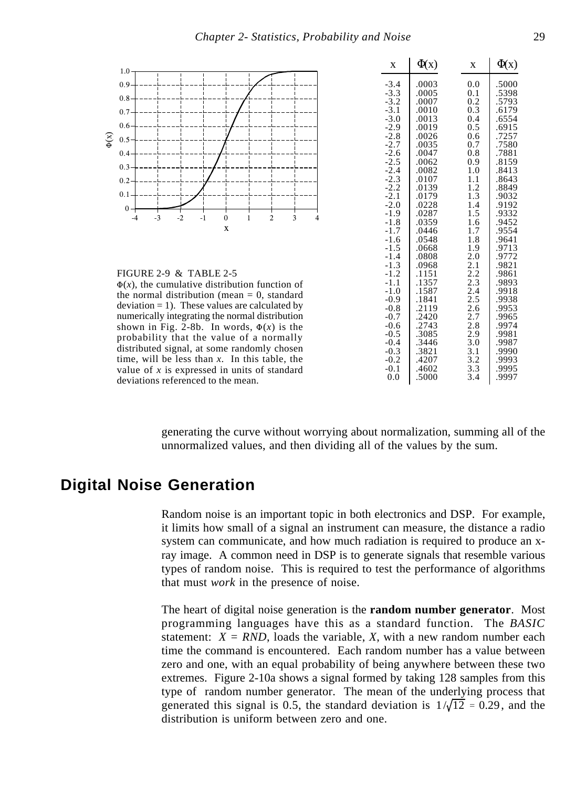

| FIGURE 2-9 & TABLE 2-5                              |
|-----------------------------------------------------|
| $\Phi(x)$ , the cumulative distribution function of |
| the normal distribution (mean $= 0$ , standard      |
| $deviation = 1$ ). These values are calculated by   |
| numerically integrating the normal distribution     |
| shown in Fig. 2-8b. In words, $\Phi(x)$ is the      |
| probability that the value of a normally            |
| distributed signal, at some randomly chosen         |
| time, will be less than x. In this table, the       |
| value of $x$ is expressed in units of standard      |
| deviations referenced to the mean.                  |
|                                                     |

| X                                                                                                                                                                                                                                                                                                                                                        | $\Phi(x)$                                                                                                                                                                                                                                                                                                              | X                                                                                                                                                                                                                                                                | $\Phi(x)$                                                                                                                                                                                                                                                                                                            |
|----------------------------------------------------------------------------------------------------------------------------------------------------------------------------------------------------------------------------------------------------------------------------------------------------------------------------------------------------------|------------------------------------------------------------------------------------------------------------------------------------------------------------------------------------------------------------------------------------------------------------------------------------------------------------------------|------------------------------------------------------------------------------------------------------------------------------------------------------------------------------------------------------------------------------------------------------------------|----------------------------------------------------------------------------------------------------------------------------------------------------------------------------------------------------------------------------------------------------------------------------------------------------------------------|
| $-3.4$<br>$-3.3$<br>$-3.2$<br>$-3.\overline{1}$<br>$-3.0$<br>$-2.9$<br>$-2.8$<br>$-2.7$<br>$-2.6$<br>$-2.5$<br>$-2.4$<br>$-2.3$<br>$-2.2$<br>-2.1<br>$-2.0$<br>-1.9<br>$-1.8$<br>$-1.7$<br>-1.6<br>-1.5<br>-1.4<br>$-1.3$<br>$-1.2$<br>$-1.1$<br>$-1.0$<br>$-0.9$<br>$-0.8$<br>$-0.7$<br>$-0.6$<br>$-0.5$<br>$-0.4$<br>$-0.3$<br>$-0.2$<br>$-0.1$<br>0.0 | .0003<br>.0005<br>.0007<br>.0010<br>.0013<br>.0019<br>.0026<br>.0035<br>.0047<br>.0062<br>.0082<br>.0107<br>.0139<br>.0179<br>.0228<br>.0287<br>.0359<br>.0446<br>.0548<br>.0668<br>.0808<br>.0968<br>.1151<br>.1357<br>.1587<br>1841<br>.2119<br>.2420<br>.2743<br>.3085<br>.3446<br>.3821<br>.4207<br>.4602<br>.5000 | 0.0<br>0.1<br>0.2<br>0.3<br>0.4<br>0.5<br>0.6<br>0.7<br>0.8<br>0.9<br>1.0<br>1.1<br>1.2<br>1.3<br>1.4<br>1.5<br>1.6<br>1.7<br>1.8<br>1.9<br>2.0<br>$2.0$<br>$2.1$<br>$2.2$<br>$2.3$<br>2.4<br>2.5<br>2.6<br>2.7<br>2.8<br>2.9<br>3.0<br>3.1<br>3.2<br>3.3<br>3.4 | .5000<br>.5398<br>.5793<br>.6179<br>.6554<br>6915<br>7257<br>7580<br>.7881<br>.8159<br>.8413<br>.8643<br>.8849<br>.9032<br>.9192<br>.9332<br>.9452<br>.9554<br>.9641<br>.9713<br>.9772<br>.9821<br>.9861<br>.9893<br>.9918<br>.9938<br>.9953<br>.9965<br>.9974<br>.9981<br>.9987<br>.9990<br>.9993<br>.9995<br>.9997 |

generating the curve without worrying about normalization, summing all of the unnormalized values, and then dividing all of the values by the sum.

## **Digital Noise Generation**

Random noise is an important topic in both electronics and DSP. For example, it limits how small of a signal an instrument can measure, the distance a radio system can communicate, and how much radiation is required to produce an xray image. A common need in DSP is to generate signals that resemble various types of random noise. This is required to test the performance of algorithms that must *work* in the presence of noise.

The heart of digital noise generation is the **random number generator**. Most programming languages have this as a standard function. The *BASIC* statement:  $X = RND$ , loads the variable, X, with a new random number each time the command is encountered. Each random number has a value between zero and one, with an equal probability of being anywhere between these two extremes. Figure 2-10a shows a signal formed by taking 128 samples from this type of random number generator. The mean of the underlying process that generated this signal is 0.5, the standard deviation is  $1/\sqrt{12} = 0.29$ , and the distribution is uniform between zero and one.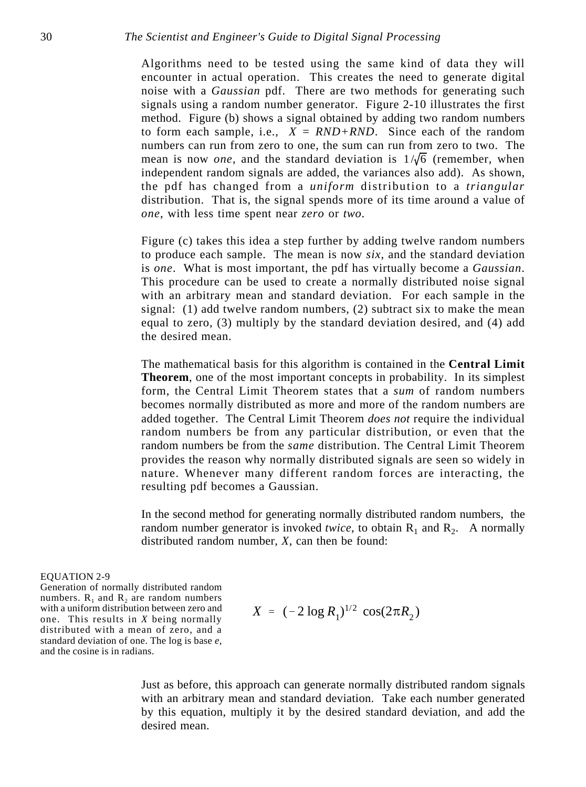Algorithms need to be tested using the same kind of data they will encounter in actual operation. This creates the need to generate digital noise with a *Gaussian* pdf. There are two methods for generating such signals using a random number generator. Figure 2-10 illustrates the first method. Figure (b) shows a signal obtained by adding two random numbers to form each sample, i.e.,  $X = RND+RND$ . Since each of the random numbers can run from zero to one, the sum can run from zero to two. The mean is now *one*, and the standard deviation is  $1/\sqrt{6}$  (remember, when independent random signals are added, the variances also add). As shown, the pdf has changed from a *uniform* distribution to a *triangular* distribution. That is, the signal spends more of its time around a value of *one*, with less time spent near *zero* or *two*.

Figure (c) takes this idea a step further by adding twelve random numbers to produce each sample. The mean is now *six*, and the standard deviation is *one*. What is most important, the pdf has virtually become a *Gaussian*. This procedure can be used to create a normally distributed noise signal with an arbitrary mean and standard deviation. For each sample in the signal: (1) add twelve random numbers, (2) subtract six to make the mean equal to zero, (3) multiply by the standard deviation desired, and (4) add the desired mean.

The mathematical basis for this algorithm is contained in the **Central Limit Theorem**, one of the most important concepts in probability. In its simplest form, the Central Limit Theorem states that a *sum* of random numbers becomes normally distributed as more and more of the random numbers are added together. The Central Limit Theorem *does not* require the individual random numbers be from any particular distribution, or even that the random numbers be from the *same* distribution. The Central Limit Theorem provides the reason why normally distributed signals are seen so widely in nature. Whenever many different random forces are interacting, the resulting pdf becomes a Gaussian.

In the second method for generating normally distributed random numbers, the random number generator is invoked *twice*, to obtain  $R_1$  and  $R_2$ . A normally distributed random number, *X*, can then be found:

EQUATION 2-9

Generation of normally distributed random numbers.  $R_1$  and  $R_2$  are random numbers with a uniform distribution between zero and one. This results in *X* being normally distributed with a mean of zero, and a standard deviation of one. The log is base *e,* and the cosine is in radians.

$$
X = (-2 \log R_1)^{1/2} \cos(2\pi R_2)
$$

Just as before, this approach can generate normally distributed random signals with an arbitrary mean and standard deviation. Take each number generated by this equation, multiply it by the desired standard deviation, and add the desired mean.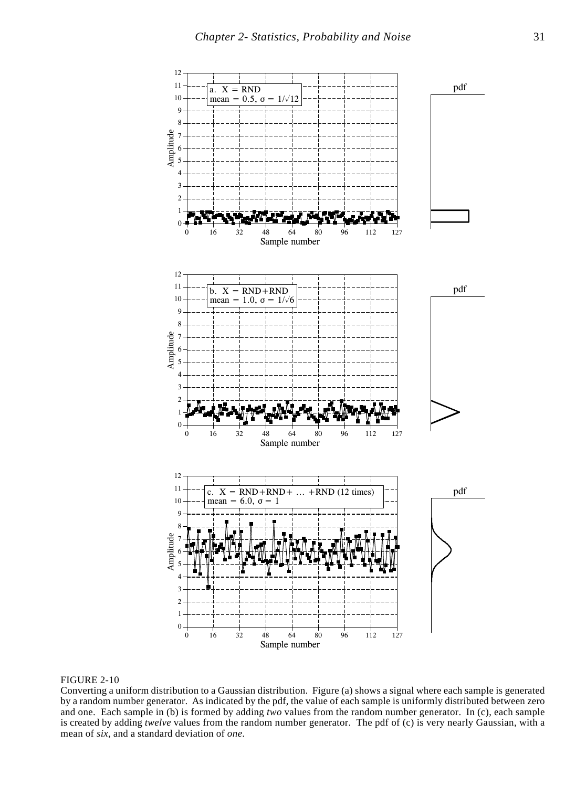

### FIGURE 2-10

Converting a uniform distribution to a Gaussian distribution. Figure (a) shows a signal where each sample is generated by a random number generator. As indicated by the pdf, the value of each sample is uniformly distributed between zero and one. Each sample in (b) is formed by adding *two* values from the random number generator. In (c), each sample is created by adding *twelve* values from the random number generator. The pdf of (c) is very nearly Gaussian, with a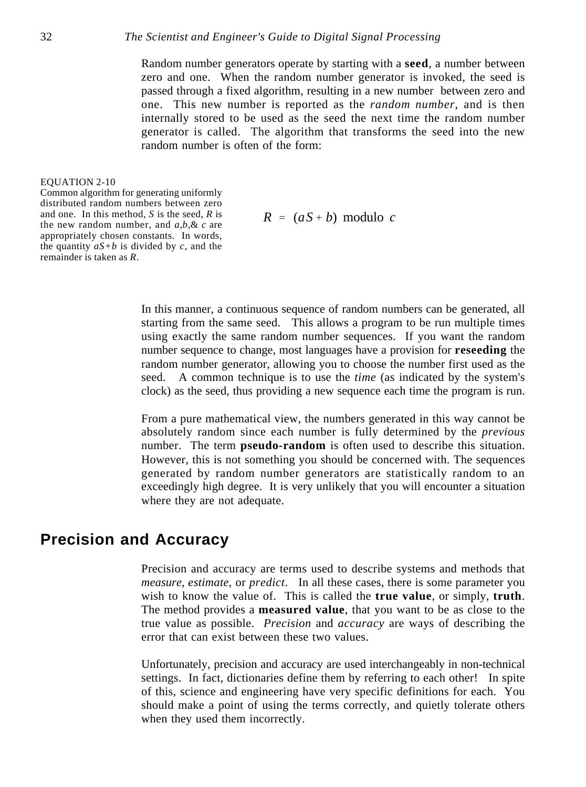Random number generators operate by starting with a **seed**, a number between zero and one. When the random number generator is invoked, the seed is passed through a fixed algorithm, resulting in a new number between zero and one. This new number is reported as the *random number*, and is then internally stored to be used as the seed the next time the random number generator is called. The algorithm that transforms the seed into the new random number is often of the form:

### EQUATION 2-10

Common algorithm for generating uniformly distributed random numbers between zero and one. In this method, *S* is the seed, *R* is the new random number, and  $a,b,k$  *c* are appropriately chosen constants. In words, the quantity *aS+b* is divided by *c*, and the remainder is taken as *R*.

 $R = (aS + b)$  modulo *c* 

In this manner, a continuous sequence of random numbers can be generated, all starting from the same seed. This allows a program to be run multiple times using exactly the same random number sequences. If you want the random number sequence to change, most languages have a provision for **reseeding** the random number generator, allowing you to choose the number first used as the seed. A common technique is to use the *time* (as indicated by the system's clock) as the seed, thus providing a new sequence each time the program is run.

From a pure mathematical view, the numbers generated in this way cannot be absolutely random since each number is fully determined by the *previous* number. The term **pseudo-random** is often used to describe this situation. However, this is not something you should be concerned with. The sequences generated by random number generators are statistically random to an exceedingly high degree. It is very unlikely that you will encounter a situation where they are not adequate.

# **Precision and Accuracy**

Precision and accuracy are terms used to describe systems and methods that *measure*, *estimate*, or *predict*. In all these cases, there is some parameter you wish to know the value of. This is called the **true value**, or simply, **truth**. The method provides a **measured value**, that you want to be as close to the true value as possible. *Precision* and *accuracy* are ways of describing the error that can exist between these two values.

Unfortunately, precision and accuracy are used interchangeably in non-technical settings. In fact, dictionaries define them by referring to each other! In spite of this, science and engineering have very specific definitions for each. You should make a point of using the terms correctly, and quietly tolerate others when they used them incorrectly.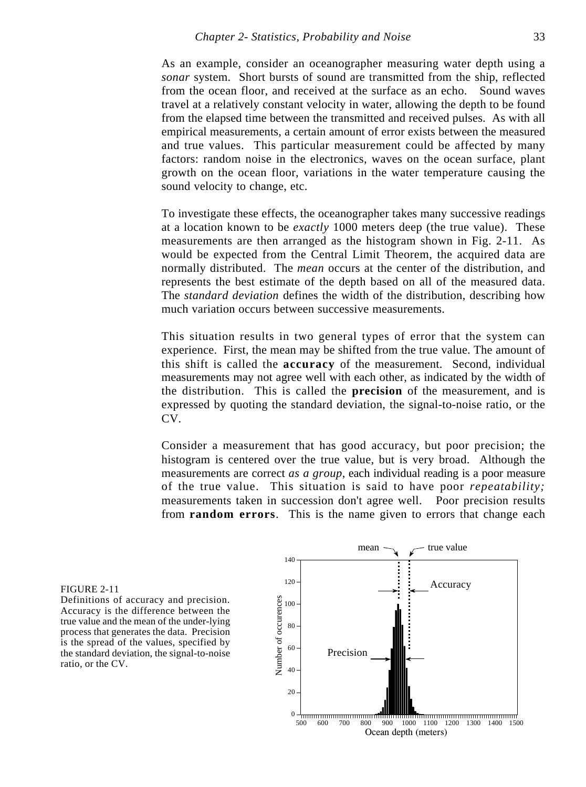As an example, consider an oceanographer measuring water depth using a *sonar* system. Short bursts of sound are transmitted from the ship, reflected from the ocean floor, and received at the surface as an echo. Sound waves travel at a relatively constant velocity in water, allowing the depth to be found from the elapsed time between the transmitted and received pulses. As with all empirical measurements, a certain amount of error exists between the measured and true values. This particular measurement could be affected by many factors: random noise in the electronics, waves on the ocean surface, plant growth on the ocean floor, variations in the water temperature causing the sound velocity to change, etc.

To investigate these effects, the oceanographer takes many successive readings at a location known to be *exactly* 1000 meters deep (the true value). These measurements are then arranged as the histogram shown in Fig. 2-11. As would be expected from the Central Limit Theorem, the acquired data are normally distributed. The *mean* occurs at the center of the distribution, and represents the best estimate of the depth based on all of the measured data. The *standard deviation* defines the width of the distribution, describing how much variation occurs between successive measurements.

This situation results in two general types of error that the system can experience. First, the mean may be shifted from the true value. The amount of this shift is called the **accuracy** of the measurement. Second, individual measurements may not agree well with each other, as indicated by the width of the distribution. This is called the **precision** of the measurement, and is expressed by quoting the standard deviation, the signal-to-noise ratio, or the CV.

Consider a measurement that has good accuracy, but poor precision; the histogram is centered over the true value, but is very broad. Although the measurements are correct *as a group*, each individual reading is a poor measure of the true value. This situation is said to have poor *repeatability;* measurements taken in succession don't agree well. Poor precision results from **random errors**. This is the name given to errors that change each

#### FIGURE 2-11

Definitions of accuracy and precision. Accuracy is the difference between the true value and the mean of the under-lying process that generates the data. Precision is the spread of the values, specified by the standard deviation, the signal-to-noise ratio, or the CV.